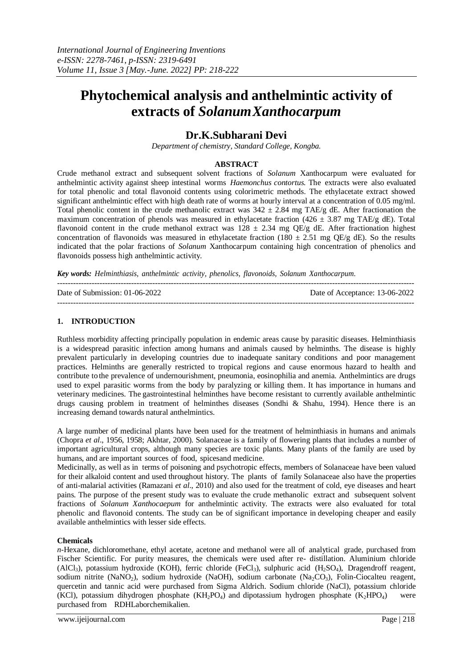# **Phytochemical analysis and anthelmintic activity of extracts of** *SolanumXanthocarpum*

# **Dr.K.Subharani Devi**

*Department of chemistry, Standard College, Kongba.*

#### **ABSTRACT**

Crude methanol extract and subsequent solvent fractions of *Solanum* Xanthocarpum were evaluated for anthelmintic activity against sheep intestinal worms *Haemonchus contortus.* The extracts were also evaluated for total phenolic and total flavonoid contents using colorimetric methods. The ethylacetate extract showed significant anthelmintic effect with high death rate of worms at hourly interval at a concentration of 0.05 mg/ml. Total phenolic content in the crude methanolic extract was  $342 \pm 2.84$  mg TAE/g dE. After fractionation the maximum concentration of phenols was measured in ethylacetate fraction (426  $\pm$  3.87 mg TAE/g dE). Total flavonoid content in the crude methanol extract was  $128 \pm 2.34$  mg QE/g dE. After fractionation highest concentration of flavonoids was measured in ethylacetate fraction (180  $\pm$  2.51 mg QE/g dE). So the results indicated that the polar fractions of *Solanum* Xanthocarpum containing high concentration of phenolics and flavonoids possess high anthelmintic activity.

---------------------------------------------------------------------------------------------------------------------------------------

---------------------------------------------------------------------------------------------------------------------------------------

*Key words: Helminthiasis, anthelmintic activity, phenolics, flavonoids, Solanum Xanthocarpum.*

Date of Submission: 01-06-2022 Date of Acceptance: 13-06-2022

#### **1. INTRODUCTION**

Ruthless morbidity affecting principally population in endemic areas cause by parasitic diseases. Helminthiasis is a widespread parasitic infection among humans and animals caused by helminths. The disease is highly prevalent particularly in developing countries due to inadequate sanitary conditions and poor management practices. Helminths are generally restricted to tropical regions and cause enormous hazard to health and contribute to the prevalence of undernourishment, pneumonia, eosinophilia and anemia. Anthelmintics are drugs used to expel parasitic worms from the body by paralyzing or killing them. It has importance in humans and veterinary medicines. The gastrointestinal helminthes have become resistant to currently available anthelmintic drugs causing problem in treatment of helminthes diseases (Sondhi & Shahu, 1994). Hence there is an increasing demand towards natural anthelmintics.

A large number of medicinal plants have been used for the treatment of helminthiasis in humans and animals (Chopra *et al*., 1956, 1958; Akhtar, 2000). Solanaceae is a [family o](http://en.wikipedia.org/wiki/Family_(biology))f [flowering plants t](http://en.wikipedia.org/wiki/Flowering_plant)hat includes a number of important [agricultural c](http://en.wikipedia.org/wiki/Agricultural)rops, although many species are [toxic p](http://en.wikipedia.org/wiki/Toxin)lants. Many plants of the family are used by humans, and are important sources of food, spicesand medicine.

Medicinally, as well as in terms of poisoning and psychotropic effects, members of Solanaceae have been valued for their alkaloid content and used throughout history. The plants of family Solanaceae also have the properties of anti-malarial activities (Ramazani *et al*., 2010) and also used for the treatment of cold, eye diseases and heart pains. The purpose of the present study was to evaluate the crude methanolic extract and subsequent solvent fractions of *Solanum Xanthocaepum* for anthelmintic activity. The extracts were also evaluated for total phenolic and flavonoid contents. The study can be of significant importance in developing cheaper and easily available anthelmintics with lesser side effects.

#### **Chemicals**

*n*-Hexane, dichloromethane, ethyl acetate, acetone and methanol were all of analytical grade, purchased from Fischer Scientific. For purity measures, the chemicals were used after re- distillation. Aluminium chloride (AlCl<sub>3</sub>), potassium hydroxide (KOH), ferric chloride (FeCl<sub>3</sub>), sulphuric acid (H<sub>2</sub>SO<sub>4</sub>), Dragendroff reagent, sodium nitrite (NaNO<sub>2</sub>), sodium hydroxide (NaOH), sodium carbonate (Na<sub>2</sub>CO<sub>3</sub>), Folin-Ciocalteu reagent, quercetin and tannic acid were purchased from Sigma Aldrich. Sodium chloride (NaCl), potassium chloride (KCl), potassium dihydrogen phosphate (KH<sub>2</sub>PO<sub>4</sub>) and dipotassium hydrogen phosphate (K<sub>2</sub>HPO<sub>4</sub>) were purchased from RDHLaborchemikalien.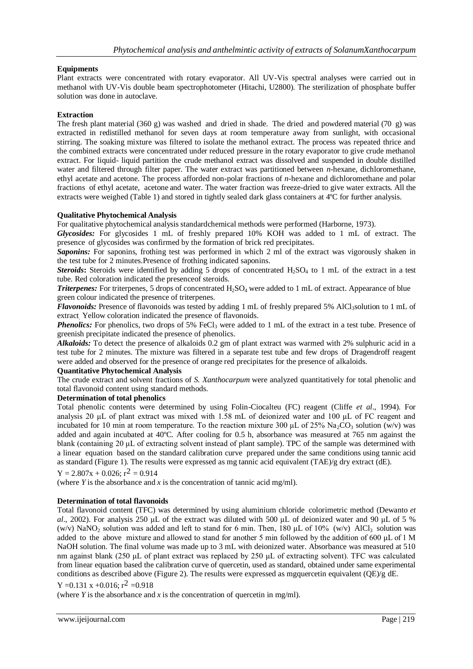# **Equipments**

Plant extracts were concentrated with rotary evaporator. All UV-Vis spectral analyses were carried out in methanol with UV-Vis double beam spectrophotometer (Hitachi, U2800). The sterilization of phosphate buffer solution was done in autoclave.

# **Extraction**

The fresh plant material (360 g) was washed and dried in shade. The dried and powdered material (70 g) was extracted in redistilled methanol for seven days at room temperature away from sunlight, with occasional stirring. The soaking mixture was filtered to isolate the methanol extract. The process was repeated thrice and the combined extracts were concentrated under reduced pressure in the rotary evaporator to give crude methanol extract. For liquid- liquid partition the crude methanol extract was dissolved and suspended in double distilled water and filtered through filter paper. The water extract was partitioned between *n*-hexane, dichloromethane, ethyl acetate and acetone. The process afforded non-polar fractions of *n*-hexane and dichloromethane and polar fractions of ethyl acetate, acetone and water. The water fraction was freeze-dried to give water extracts. All the extracts were weighed (Table 1) and stored in tightly sealed dark glass containers at 4ºC for further analysis.

# **Qualitative Phytochemical Analysis**

For qualitative phytochemical analysis standardchemical methods were performed (Harborne, 1973).

*Glycosides:* For glycosides 1 mL of freshly prepared 10% KOH was added to 1 mL of extract. The presence of glycosides was confirmed by the formation of brick red precipitates.

*Saponins:* For saponins, frothing test was performed in which 2 ml of the extract was vigorously shaken in the test tube for 2 minutes.Presence of frothing indicated saponins.

*Steroids*: Steroids were identified by adding 5 drops of concentrated  $H_2SO_4$  to 1 mL of the extract in a test tube. Red coloration indicated the presenceof steroids.

*Triterpenes:* For triterpenes, 5 drops of concentrated H<sub>2</sub>SO<sub>4</sub> were added to 1 mL of extract. Appearance of blue green colour indicated the presence of triterpenes.

*Flavonoids:* Presence of flavonoids was tested by adding 1 mL of freshly prepared 5% AlCl<sub>3</sub>solution to 1 mL of extract. Yellow coloration indicated the presence of flavonoids.

**Phenolics:** For phenolics, two drops of 5% FeCl<sub>3</sub> were added to 1 mL of the extract in a test tube. Presence of greenish precipitate indicated the presence of phenolics.

*Alkaloids:* To detect the presence of alkaloids 0.2 gm of plant extract was warmed with 2% sulphuric acid in a test tube for 2 minutes. The mixture was filtered in a separate test tube and few drops of Dragendroff reagent were added and observed for the presence of orange red precipitates for the presence of alkaloids.

# **Quantitative Phytochemical Analysis**

The crude extract and solvent fractions of *S. Xanthocarpum* were analyzed quantitatively for total phenolic and total flavonoid content using standard methods.

# **Determination of total phenolics**

Total phenolic contents were determined by using Folin-Ciocalteu (FC) reagent (Cliffe *et al*., 1994). For analysis 20 μL of plant extract was mixed with 1.58 mL of deionized water and 100 μL of FC reagent and incubated for 10 min at room temperature. To the reaction mixture 300  $\mu$ L of 25% Na<sub>2</sub>CO<sub>3</sub> solution (w/v) was added and again incubated at 40ºC. After cooling for 0.5 h, absorbance was measured at 765 nm against the blank (containing 20 μL of extracting solvent instead of plant sample). TPC of the sample was determined with a linear equation based on the standard calibration curve prepared under the same conditions using tannic acid as standard (Figure 1). The results were expressed as mg tannic acid equivalent (TAE)/g dry extract (dE).

$$
Y = 2.807x + 0.026; r^2 = 0.914
$$

(where *Y* is the absorbance and *x* is the concentration of tannic acid mg/ml).

# **Determination of total flavonoids**

Total flavonoid content (TFC) was determined by using aluminium chloride colorimetric method (Dewanto *et al*., 2002). For analysis 250 μL of the extract was diluted with 500 μL of deionized water and 90 μL of 5 % (w/v) NaNO<sub>2</sub> solution was added and left to stand for 6 min. Then, 180 µL of 10% (w/v) AlCl<sub>3</sub> solution was added to the above mixture and allowed to stand for another 5 min followed by the addition of 600 μL of 1 M NaOH solution. The final volume was made up to 3 mL with deionized water. Absorbance was measured at 510 nm against blank (250 μL of plant extract was replaced by 250 μL of extracting solvent). TFC was calculated from linear equation based the calibration curve of quercetin, used as standard, obtained under same experimental conditions as described above (Figure 2). The results were expressed as mgquercetin equivalent (QE)/g dE.

Y = 0.131 x + 0.016; 
$$
r^2 = 0.918
$$

(where *Y* is the absorbance and *x* is the concentration of quercetin in mg/ml).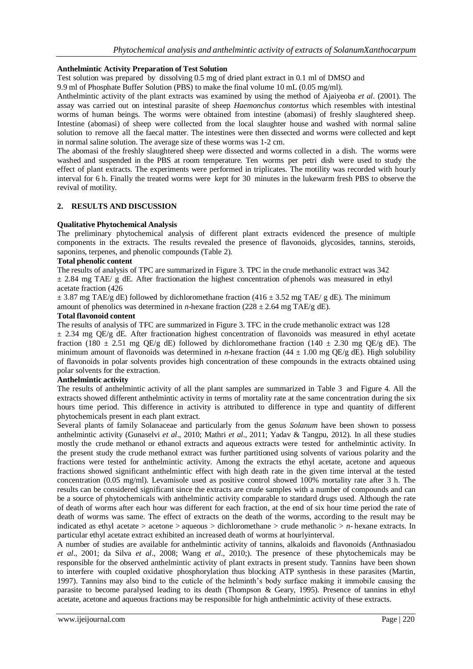#### **Anthelmintic Activity Preparation of Test Solution**

Test solution was prepared by dissolving 0.5 mg of dried plant extract in 0.1 ml of DMSO and

9.9 ml of Phosphate Buffer Solution (PBS) to make the final volume 10 mL (0.05 mg/ml).

Anthelmintic activity of the plant extracts was examined by using the method of Ajaiyeoba *et al*. (2001). The assay was carried out on intestinal parasite of sheep *Haemonchus contortus* which resembles with intestinal worms of human beings*.* The worms were obtained from intestine (abomasi) of freshly slaughtered sheep. Intestine (abomasi) of sheep were collected from the local slaughter house and washed with normal saline solution to remove all the faecal matter. The intestines were then dissected and worms were collected and kept in normal saline solution. The average size of these worms was 1-2 cm.

The abomasi of the freshly slaughtered sheep were dissected and worms collected in a dish. The worms were washed and suspended in the PBS at room temperature. Ten worms per petri dish were used to study the effect of plant extracts. The experiments were performed in triplicates. The motility was recorded with hourly interval for 6 h. Finally the treated worms were kept for 30 minutes in the lukewarm fresh PBS to observe the revival of motility.

#### **2. RESULTS AND DISCUSSION**

#### **Qualitative Phytochemical Analysis**

The preliminary phytochemical analysis of different plant extracts evidenced the presence of multiple components in the extracts. The results revealed the presence of flavonoids, glycosides, tannins, steroids, saponins, terpenes, and phenolic compounds (Table 2).

#### **Total phenolic content**

The results of analysis of TPC are summarized in Figure 3. TPC in the crude methanolic extract was 342  $\pm$  2.84 mg TAE/ g dE. After fractionation the highest concentration of phenols was measured in ethyl acetate fraction (426

 $\pm$  3.87 mg TAE/g dE) followed by dichloromethane fraction (416  $\pm$  3.52 mg TAE/g dE). The minimum amount of phenolics was determined in *n*-hexane fraction ( $228 \pm 2.64$  mg TAE/g dE).

#### **Total flavonoid content**

The results of analysis of TFC are summarized in Figure 3. TFC in the crude methanolic extract was 128  $\pm$  2.34 mg QE/g dE. After fractionation highest concentration of flavonoids was measured in ethyl acetate fraction (180  $\pm$  2.51 mg QE/g dE) followed by dichloromethane fraction (140  $\pm$  2.30 mg QE/g dE). The minimum amount of flavonoids was determined in *n*-hexane fraction (44  $\pm$  1.00 mg QE/g dE). High solubility of flavonoids in polar solvents provides high concentration of these compounds in the extracts obtained using polar solvents for the extraction.

#### **Anthelmintic activity**

The results of anthelmintic activity of all the plant samples are summarized in Table 3 and Figure 4. All the extracts showed different anthelmintic activity in terms of mortality rate at the same concentration during the six hours time period. This difference in activity is attributed to difference in type and quantity of different phytochemicals present in each plant extract.

Several plants of family Solanaceae and particularly from the genus *Solanum* have been shown to possess anthelmintic activity (Gunaselvi *et al*., 2010; Mathri *et al*., 2011; Yadav & Tangpu, 2012). In all these studies mostly the crude methanol or ethanol extracts and aqueous extracts were tested for anthelmintic activity. In the present study the crude methanol extract was further partitioned using solvents of various polarity and the fractions were tested for anthelmintic activity. Among the extracts the ethyl acetate, acetone and aqueous fractions showed significant anthelmintic effect with high death rate in the given time interval at the tested concentration (0.05 mg/ml). Levamisole used as positive control showed 100% mortality rate after 3 h. The results can be considered significant since the extracts are crude samples with a number of compounds and can be a source of phytochemicals with anthelmintic activity comparable to standard drugs used. Although the rate of death of worms after each hour was different for each fraction, at the end of six hour time period the rate of death of worms was same. The effect of extracts on the death of the worms, according to the result may be indicated as ethyl acetate > acetone > aqueous > dichloromethane > crude methanolic > *n*- hexane extracts. In particular ethyl acetate extract exhibited an increased death of worms at hourlyinterval.

A number of studies are available for anthelmintic activity of tannins, alkaloids and flavonoids (Anthnasiadou *et al*., 2001; da Silva *et al*., 2008; Wang *et al*., 2010;). The presence of these phytochemicals may be responsible for the observed anthelmintic activity of plant extracts in present study. Tannins have been shown to interfere with coupled oxidative phosphorylation thus blocking ATP synthesis in these parasites (Martin, 1997). Tannins may also bind to the cuticle of the helminth's body surface making it immobile causing the parasite to become paralysed leading to its death (Thompson & Geary, 1995). Presence of tannins in ethyl acetate, acetone and aqueous fractions may be responsible for high anthelmintic activity of these extracts.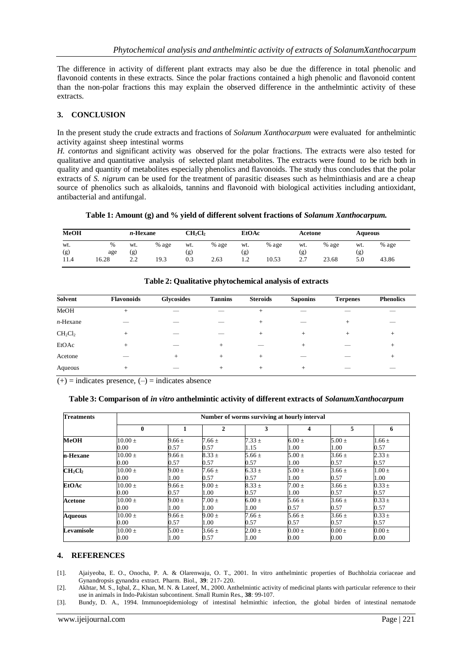The difference in activity of different plant extracts may also be due the difference in total phenolic and flavonoid contents in these extracts. Since the polar fractions contained a high phenolic and flavonoid content than the non-polar fractions this may explain the observed difference in the anthelmintic activity of these extracts.

#### **3. CONCLUSION**

In the present study the crude extracts and fractions of *Solanum Xanthocarpum* were evaluated for anthelmintic activity against sheep intestinal worms

*H. contortus* and significant activity was observed for the polar fractions. The extracts were also tested for qualitative and quantitative analysis of selected plant metabolites. The extracts were found to be rich both in quality and quantity of metabolites especially phenolics and flavonoids. The study thus concludes that the polar extracts of *S. nigrum* can be used for the treatment of parasitic diseases such as helminthiasis and are a cheap source of phenolics such as alkaloids, tannins and flavonoid with biological activities including antioxidant, antibacterial and antifungal.

**Table 1: Amount (g) and % yield of different solvent fractions of** *Solanum Xanthocarpum.*

| MeOH        |              | $n$ -Hexane      |       | CH <sub>2</sub> Cl <sub>2</sub> |       | EtOAc                  |       | Acetone                   |       | Aqueous    |       |
|-------------|--------------|------------------|-------|---------------------------------|-------|------------------------|-------|---------------------------|-------|------------|-------|
| wt.         | %            | wt.              | % age | wt.                             | % age | wt.                    | % age | wt.                       | % age | wt.        | % age |
| (g)<br>11.4 | age<br>16.28 | (g)<br>っっ<br>2.Z | 19.3  | (g)<br>0.3                      | 2.63  | (g)<br>$\sqrt{2}$<br>. | 10.53 | (g)<br>27<br><u>، ، ،</u> | 23.68 | (g)<br>5.0 | 43.86 |

| Solvent     | <b>Flavonoids</b> | <b>Glycosides</b> | <b>Tannins</b> | <b>Steroids</b> | <b>Saponins</b> | <b>Terpenes</b> | <b>Phenolics</b> |
|-------------|-------------------|-------------------|----------------|-----------------|-----------------|-----------------|------------------|
| MeOH        | $+$               |                   |                | $^{+}$          |                 |                 |                  |
| $n$ -Hexane |                   |                   |                | $+$             |                 | $^{+}$          |                  |
| $CH_2Cl_2$  | $^{+}$            |                   |                | $+$             | $^{+}$          | $^{+}$          | $^{+}$           |
| EtOAc       | $+$               |                   | $^+$           |                 | $^{+}$          |                 | $^{+}$           |
| Acetone     |                   | $^{+}$            | $^+$           | $^{+}$          |                 |                 | $^{+}$           |
| Aqueous     | $+$               |                   | $^+$           | $+$             | $^{+}$          |                 |                  |

#### **Table 2: Qualitative phytochemical analysis of extracts**

 $(+)$  = indicates presence,  $(-)$  = indicates absence

#### **Table 3: Comparison of** *in vitro* **anthelmintic activity of different extracts of** *SolanumXanthocarpum*

| <b>Treatments</b>               | Number of worms surviving at hourly interval |            |            |            |            |            |            |  |  |  |
|---------------------------------|----------------------------------------------|------------|------------|------------|------------|------------|------------|--|--|--|
|                                 | $\mathbf{0}$                                 |            | 2          | 3          | 4          | 5          | 6          |  |  |  |
| <b>MeOH</b>                     | $10.00 \pm 1$                                | $9.66 \pm$ | $7.66 \pm$ | $7.33 \pm$ | $6.00 \pm$ | $5.00 \pm$ | $1.66 \pm$ |  |  |  |
|                                 | $0.00\,$                                     | 0.57       | 0.57       | 1.15       | 1.00       | 1.00       | 0.57       |  |  |  |
| n-Hexane                        | $10.00 +$                                    | $9.66 \pm$ | $8.33 \pm$ | 5.66 $\pm$ | $5.00 \pm$ | $3.66 \pm$ | $2.33 \pm$ |  |  |  |
|                                 | $0.00\,$                                     | 0.57       | 0.57       | 0.57       | 1.00       | 0.57       | 0.57       |  |  |  |
| CH <sub>2</sub> Cl <sub>2</sub> | $10.00 +$                                    | $9.00 +$   | $7.66 \pm$ | $6.33 \pm$ | $5.00 +$   | $3.66 \pm$ | $1.00 \pm$ |  |  |  |
|                                 | $0.00\,$                                     | 1.00       | 0.57       | 0.57       | 1.00       | 0.57       | 1.00       |  |  |  |
| EtOAc                           | $10.00 \pm 1$                                | $9.66 \pm$ | $9.00 \pm$ | $8.33 \pm$ | $7.00 \pm$ | $3.66 \pm$ | $0.33 \pm$ |  |  |  |
|                                 | $0.00\,$                                     | 0.57       | 1.00       | 0.57       | 1.00       | 0.57       | 0.57       |  |  |  |
| <b>Acetone</b>                  | $10.00 +$                                    | $9.00 \pm$ | $7.00 \pm$ | $6.00 \pm$ | $5.66 +$   | $3.66 \pm$ | $0.33 \pm$ |  |  |  |
|                                 | $0.00\,$                                     | 1.00       | 1.00       | 1.00       | 0.57       | 0.57       | 0.57       |  |  |  |
| <b>Aqueous</b>                  | $10.00 +$                                    | $9.66 +$   | $9.00 \pm$ | $7.66 \pm$ | $5.66 +$   | $3.66 +$   | $0.33 \pm$ |  |  |  |
|                                 | $0.00\,$                                     | 0.57       | 1.00       | 0.57       | 0.57       | 0.57       | 0.57       |  |  |  |
| Levamisole                      | $10.00 +$                                    | $5.00 \pm$ | $3.66 \pm$ | $2.00 \pm$ | $+0.00 +$  | $0.00 \pm$ | $0.00 \pm$ |  |  |  |
|                                 | 0.00                                         | 1.00       | 0.57       | 1.00       | 0.00       | 0.00       | 0.00       |  |  |  |

# **4. REFERENCES**

- [1]. Ajaiyeoba, E. O., Onocha, P. A. & Olarenwaju, O. T., 2001. In vitro anthelmintic properties of Buchholzia coriaceae and Gynandropsis gynandra extract. Pharm. Biol., **39**: 217- 220.
- [2]. Akhtar, M. S., Iqbal, Z., Khan, M. N. & Lateef, M., 2000. Anthelmintic activity of medicinal plants with particular reference to their use in animals in Indo-Pakistan subcontinent. Small Rumin Res., **38**: 99-107.
- [3]. Bundy, D. A., 1994. Immunoepidemiology of intestinal helminthic infection, the global birden of intestinal nematode